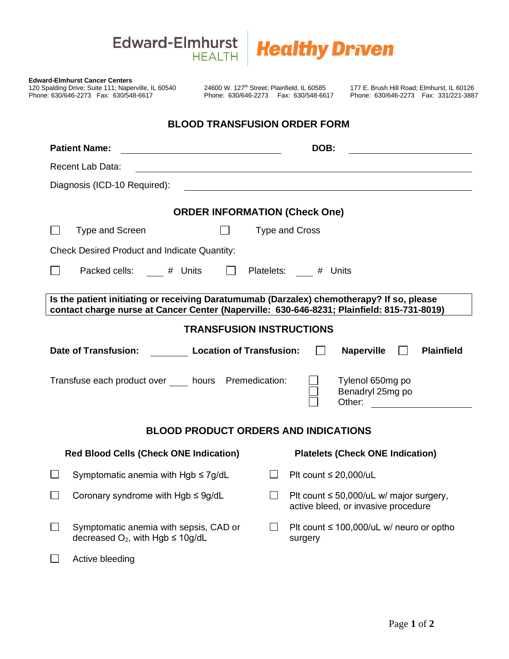## Edward-Elmhurst **Healthy Driven**

| <b>Edward-Elmhurst Cancer Centers</b><br>120 Spalding Drive; Suite 111; Naperville, IL 60540<br>Phone: 630/646-2273  Fax: 630/548-6617                                                  | 24600 W. 127 <sup>th</sup> Street; Plainfield, IL 60585<br>Phone: 630/646-2273  Fax: 630/548-6617 |                |                            |                                                                                | 177 E. Brush Hill Road; Elmhurst, IL 60126<br>Phone: 630/646-2273  Fax: 331/221-3887                                 |
|-----------------------------------------------------------------------------------------------------------------------------------------------------------------------------------------|---------------------------------------------------------------------------------------------------|----------------|----------------------------|--------------------------------------------------------------------------------|----------------------------------------------------------------------------------------------------------------------|
|                                                                                                                                                                                         | <b>BLOOD TRANSFUSION ORDER FORM</b>                                                               |                |                            |                                                                                |                                                                                                                      |
| <b>Patient Name:</b><br><u> 1980 - Johann Barbara, martin amerikan ba</u>                                                                                                               |                                                                                                   |                | DOB:                       |                                                                                |                                                                                                                      |
| Recent Lab Data:                                                                                                                                                                        |                                                                                                   |                |                            |                                                                                |                                                                                                                      |
| Diagnosis (ICD-10 Required):                                                                                                                                                            |                                                                                                   |                |                            |                                                                                |                                                                                                                      |
|                                                                                                                                                                                         | <b>ORDER INFORMATION (Check One)</b>                                                              |                |                            |                                                                                |                                                                                                                      |
| <b>Type and Screen</b>                                                                                                                                                                  |                                                                                                   |                | <b>Type and Cross</b>      |                                                                                |                                                                                                                      |
| <b>Check Desired Product and Indicate Quantity:</b>                                                                                                                                     |                                                                                                   |                |                            |                                                                                |                                                                                                                      |
| Packed cells: # Units   Platelets: # Units                                                                                                                                              |                                                                                                   |                |                            |                                                                                |                                                                                                                      |
| Is the patient initiating or receiving Daratumumab (Darzalex) chemotherapy? If so, please<br>contact charge nurse at Cancer Center (Naperville: 630-646-8231; Plainfield: 815-731-8019) |                                                                                                   |                |                            |                                                                                |                                                                                                                      |
|                                                                                                                                                                                         | <b>TRANSFUSION INSTRUCTIONS</b>                                                                   |                |                            |                                                                                |                                                                                                                      |
| Date of Transfusion: Location of Transfusion:                                                                                                                                           |                                                                                                   |                |                            | <b>Naperville</b>                                                              | <b>Plainfield</b>                                                                                                    |
| Transfuse each product over hours Premedication:                                                                                                                                        |                                                                                                   |                |                            | Tylenol 650mg po<br>Benadryl 25mg po<br>Other:                                 | <u> 1989 - Jan Stein Stein Stein Stein Stein Stein Stein Stein Stein Stein Stein Stein Stein Stein Stein Stein S</u> |
|                                                                                                                                                                                         | <b>BLOOD PRODUCT ORDERS AND INDICATIONS</b>                                                       |                |                            |                                                                                |                                                                                                                      |
| <b>Red Blood Cells (Check ONE Indication)</b>                                                                                                                                           |                                                                                                   |                |                            | <b>Platelets (Check ONE Indication)</b>                                        |                                                                                                                      |
| Symptomatic anemia with $Hgb \leq 7g/dL$<br>⊔                                                                                                                                           |                                                                                                   | $\blacksquare$ | Plt count $\leq$ 20,000/uL |                                                                                |                                                                                                                      |
| Coronary syndrome with $Hgb \leq 9g/dL$                                                                                                                                                 |                                                                                                   | $\Box$         |                            | Plt count ≤ 50,000/uL w/ major surgery,<br>active bleed, or invasive procedure |                                                                                                                      |
| Symptomatic anemia with sepsis, CAD or<br>$\perp$<br>decreased $O_2$ , with Hgb $\leq$ 10g/dL                                                                                           |                                                                                                   | $\perp$        | surgery                    | Plt count $\leq 100,000/\text{uL}$ w/ neuro or optho                           |                                                                                                                      |
| Active bleeding                                                                                                                                                                         |                                                                                                   |                |                            |                                                                                |                                                                                                                      |